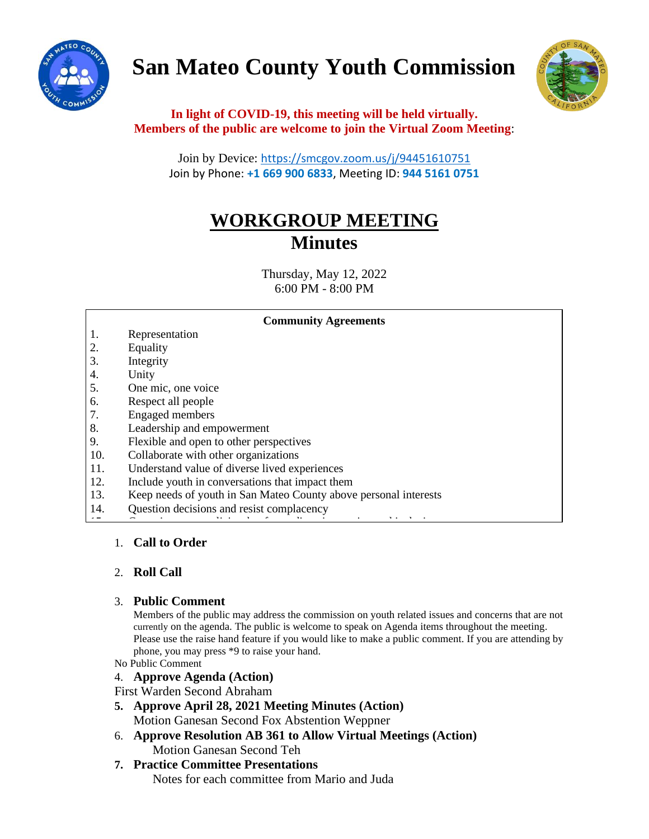

# **San Mateo County Youth Commission**



**In light of COVID-19, this meeting will be held virtually. Members of the public are welcome to join the Virtual Zoom Meeting**:

Join by Device: <https://smcgov.zoom.us/j/94451610751> Join by Phone: **+1 669 900 6833**, Meeting ID: **944 5161 0751**

# **WORKGROUP MEETING Minutes**

Thursday, May 12, 2022 6:00 PM - 8:00 PM

| <b>Community Agreements</b> |                                                                  |
|-----------------------------|------------------------------------------------------------------|
| 1.                          | Representation                                                   |
| 2.                          | Equality                                                         |
| 3.                          | Integrity                                                        |
| 4.                          | Unity                                                            |
| 5.                          | One mic, one voice                                               |
| 6.                          | Respect all people                                               |
| 7.                          | <b>Engaged</b> members                                           |
| 8.                          | Leadership and empowerment                                       |
| 9.                          | Flexible and open to other perspectives                          |
| 10.                         | Collaborate with other organizations                             |
| 11.                         | Understand value of diverse lived experiences                    |
| 12.                         | Include youth in conversations that impact them                  |
| 13.                         | Keep needs of youth in San Mateo County above personal interests |
| 14.                         | Question decisions and resist complacency                        |
| $\epsilon$ $\rightarrow$    |                                                                  |

# 1. **Call to Order**

# 2. **Roll Call**

#### 3. **Public Comment**

Members of the public may address the commission on youth related issues and concerns that are not currently on the agenda. The public is welcome to speak on Agenda items throughout the meeting. Please use the raise hand feature if you would like to make a public comment. If you are attending by phone, you may press \*9 to raise your hand.

- No Public Comment
- 4. **Approve Agenda (Action)**

First Warden Second Abraham

- **5. Approve April 28, 2021 Meeting Minutes (Action)** Motion Ganesan Second Fox Abstention Weppner
- 6. **Approve Resolution AB 361 to Allow Virtual Meetings (Action)** Motion Ganesan Second Teh

# **7. Practice Committee Presentations**

Notes for each committee from Mario and Juda